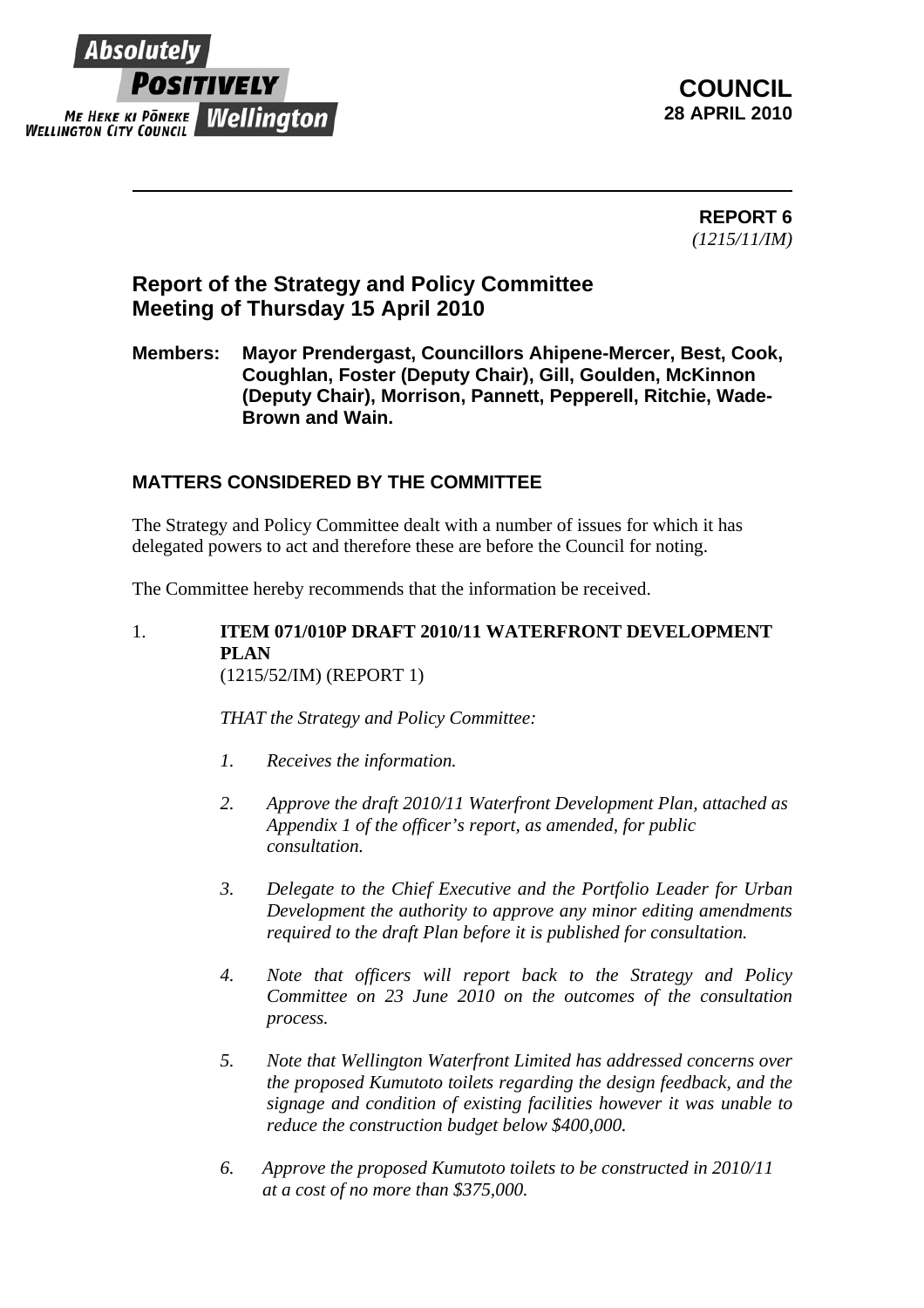

**COUNCIL 28 APRIL 2010** 

> **REPORT 6**  *(1215/11/IM)*

# **Report of the Strategy and Policy Committee Meeting of Thursday 15 April 2010**

**Members: Mayor Prendergast, Councillors Ahipene-Mercer, Best, Cook, Coughlan, Foster (Deputy Chair), Gill, Goulden, McKinnon (Deputy Chair), Morrison, Pannett, Pepperell, Ritchie, Wade-Brown and Wain.** 

## **MATTERS CONSIDERED BY THE COMMITTEE**

The Strategy and Policy Committee dealt with a number of issues for which it has delegated powers to act and therefore these are before the Council for noting.

The Committee hereby recommends that the information be received.

1. **ITEM 071/010P DRAFT 2010/11 WATERFRONT DEVELOPMENT PLAN**  (1215/52/IM) (REPORT 1)

*THAT the Strategy and Policy Committee:*

- *1. Receives the information.*
- *2. Approve the draft 2010/11 Waterfront Development Plan, attached as Appendix 1 of the officer's report, as amended, for public consultation.*
- *3. Delegate to the Chief Executive and the Portfolio Leader for Urban Development the authority to approve any minor editing amendments required to the draft Plan before it is published for consultation.*
- *4. Note that officers will report back to the Strategy and Policy Committee on 23 June 2010 on the outcomes of the consultation process.*
- *5. Note that Wellington Waterfront Limited has addressed concerns over the proposed Kumutoto toilets regarding the design feedback, and the signage and condition of existing facilities however it was unable to reduce the construction budget below \$400,000.*
- *6. Approve the proposed Kumutoto toilets to be constructed in 2010/11 at a cost of no more than \$375,000.*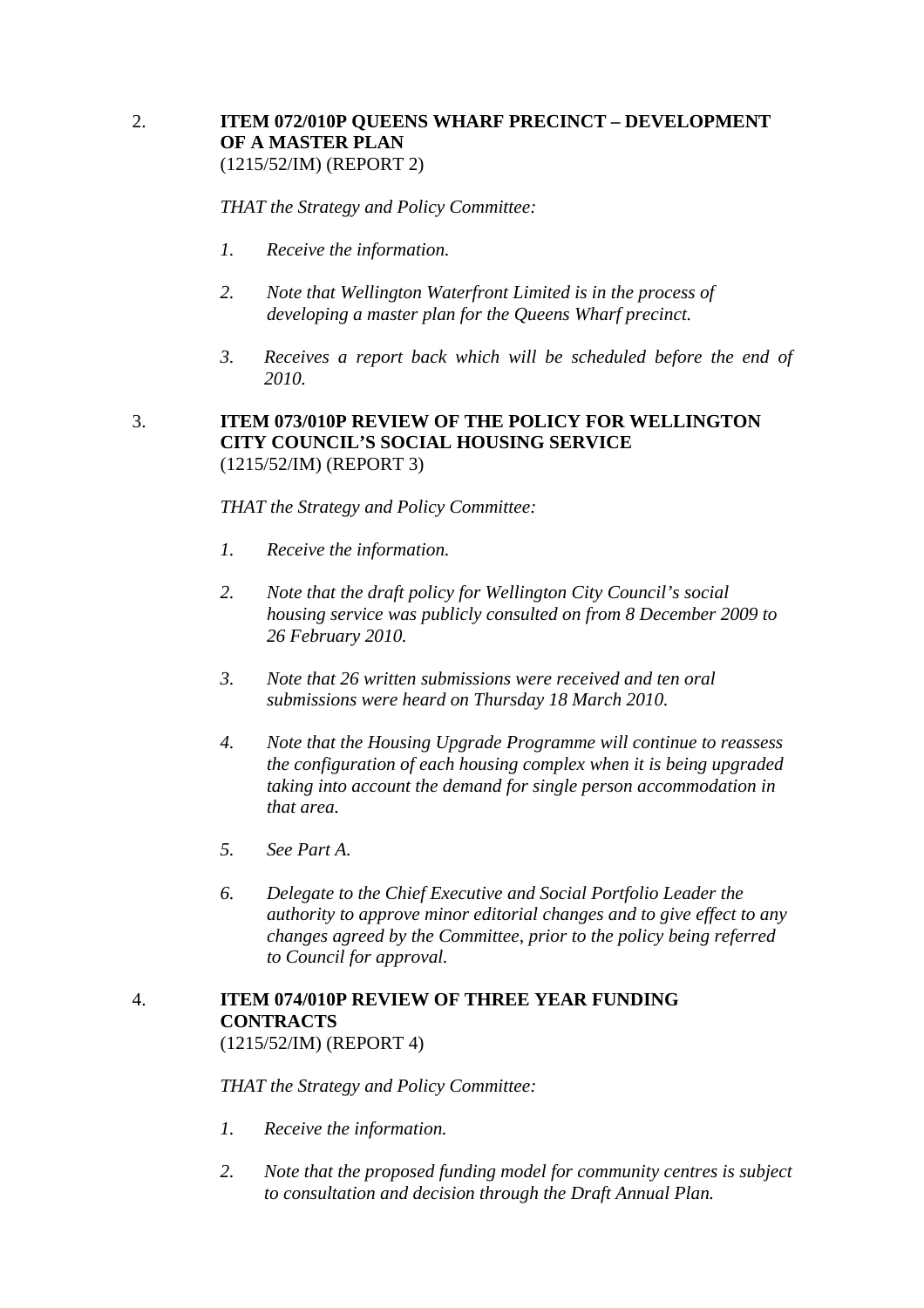#### 2. **ITEM 072/010P QUEENS WHARF PRECINCT – DEVELOPMENT OF A MASTER PLAN** (1215/52/IM) (REPORT 2)

*THAT the Strategy and Policy Committee:* 

- *1. Receive the information.*
- *2. Note that Wellington Waterfront Limited is in the process of developing a master plan for the Queens Wharf precinct.*
- *3. Receives a report back which will be scheduled before the end of 2010.*

#### 3. **ITEM 073/010P REVIEW OF THE POLICY FOR WELLINGTON CITY COUNCIL'S SOCIAL HOUSING SERVICE**  (1215/52/IM) (REPORT 3)

*THAT the Strategy and Policy Committee:*

- *1. Receive the information.*
- *2. Note that the draft policy for Wellington City Council's social housing service was publicly consulted on from 8 December 2009 to 26 February 2010.*
- *3. Note that 26 written submissions were received and ten oral submissions were heard on Thursday 18 March 2010.*
- *4. Note that the Housing Upgrade Programme will continue to reassess the configuration of each housing complex when it is being upgraded taking into account the demand for single person accommodation in that area.*
- *5. See Part A.*
- *6. Delegate to the Chief Executive and Social Portfolio Leader the authority to approve minor editorial changes and to give effect to any changes agreed by the Committee, prior to the policy being referred to Council for approval.*

## 4. **ITEM 074/010P REVIEW OF THREE YEAR FUNDING CONTRACTS**

(1215/52/IM) (REPORT 4)

*THAT the Strategy and Policy Committee:*

- *1. Receive the information.*
- *2. Note that the proposed funding model for community centres is subject to consultation and decision through the Draft Annual Plan.*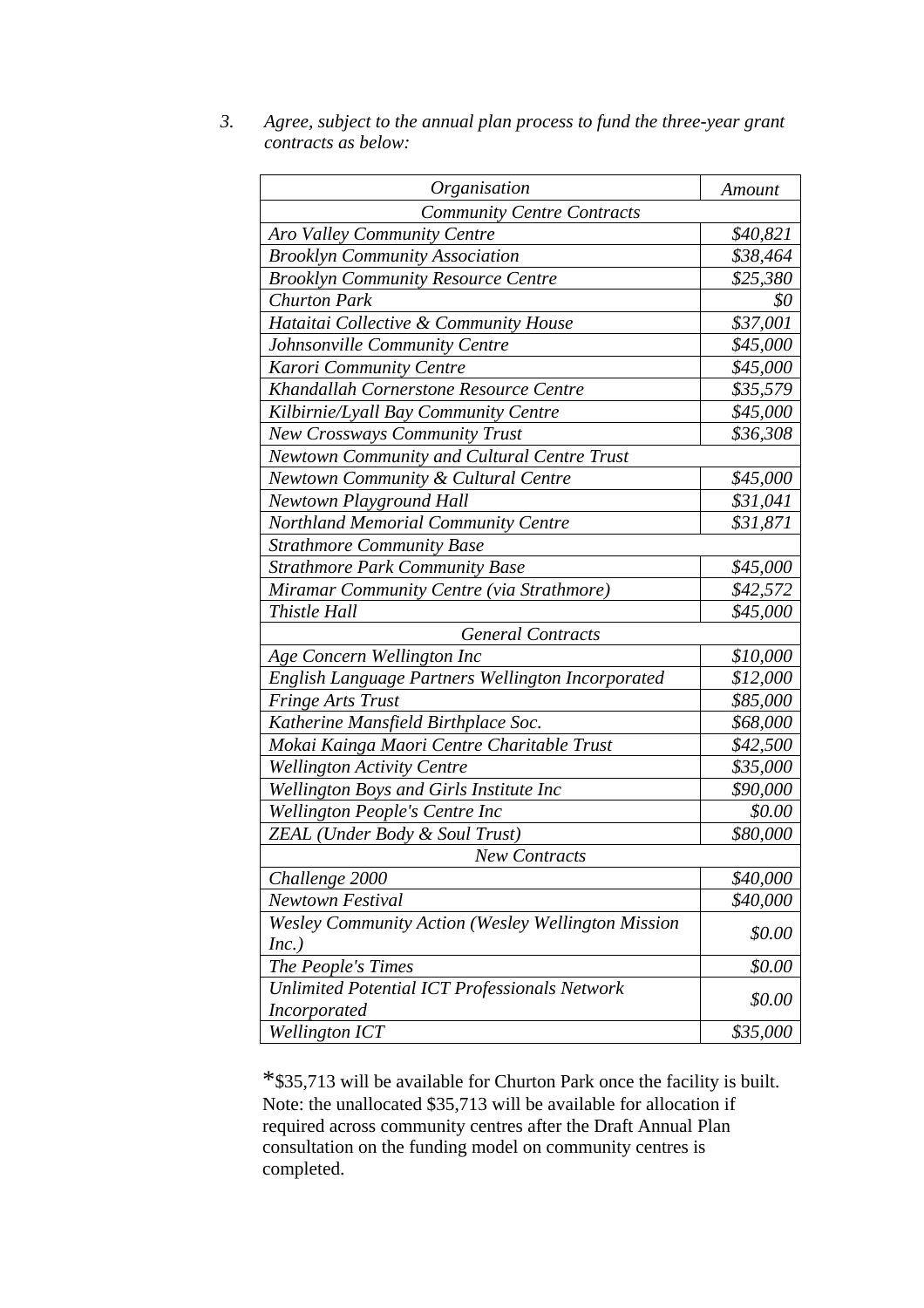| 3. | Agree, subject to the annual plan process to fund the three-year grant |
|----|------------------------------------------------------------------------|
|    | contracts as below:                                                    |

| Organisation                                                         | Amount   |  |  |
|----------------------------------------------------------------------|----------|--|--|
| <b>Community Centre Contracts</b>                                    |          |  |  |
| <b>Aro Valley Community Centre</b>                                   | \$40,821 |  |  |
| <b>Brooklyn Community Association</b>                                | \$38,464 |  |  |
| <b>Brooklyn Community Resource Centre</b>                            | \$25,380 |  |  |
| <b>Churton Park</b>                                                  | \$0      |  |  |
| Hataitai Collective & Community House                                | \$37,001 |  |  |
| Johnsonville Community Centre                                        | \$45,000 |  |  |
| Karori Community Centre                                              | \$45,000 |  |  |
| Khandallah Cornerstone Resource Centre                               | \$35,579 |  |  |
| Kilbirnie/Lyall Bay Community Centre                                 | \$45,000 |  |  |
| <b>New Crossways Community Trust</b>                                 | \$36,308 |  |  |
| <b>Newtown Community and Cultural Centre Trust</b>                   |          |  |  |
| Newtown Community & Cultural Centre                                  | \$45,000 |  |  |
| <b>Newtown Playground Hall</b>                                       | \$31,041 |  |  |
| Northland Memorial Community Centre                                  | \$31,871 |  |  |
| <b>Strathmore Community Base</b>                                     |          |  |  |
| <b>Strathmore Park Community Base</b>                                | \$45,000 |  |  |
| Miramar Community Centre (via Strathmore)                            | \$42,572 |  |  |
| Thistle Hall                                                         | \$45,000 |  |  |
| <b>General Contracts</b>                                             |          |  |  |
| Age Concern Wellington Inc                                           | \$10,000 |  |  |
| English Language Partners Wellington Incorporated                    | \$12,000 |  |  |
| <b>Fringe Arts Trust</b>                                             | \$85,000 |  |  |
| Katherine Mansfield Birthplace Soc.                                  | \$68,000 |  |  |
| Mokai Kainga Maori Centre Charitable Trust                           | \$42,500 |  |  |
| <b>Wellington Activity Centre</b>                                    | \$35,000 |  |  |
| Wellington Boys and Girls Institute Inc                              | \$90,000 |  |  |
| Wellington People's Centre Inc                                       | \$0.00   |  |  |
| ZEAL (Under Body & Soul Trust)                                       | \$80,000 |  |  |
| <b>New Contracts</b>                                                 |          |  |  |
| Challenge 2000                                                       | \$40,000 |  |  |
| <b>Newtown Festival</b>                                              | \$40,000 |  |  |
| <b>Wesley Community Action (Wesley Wellington Mission</b>            | \$0.00   |  |  |
| Inc.)                                                                |          |  |  |
| The People's Times                                                   | \$0.00   |  |  |
| Unlimited Potential ICT Professionals Network<br><b>Incorporated</b> | \$0.00   |  |  |
| <b>Wellington ICT</b>                                                | \$35,000 |  |  |

\*\$35,713 will be available for Churton Park once the facility is built. Note: the unallocated \$35,713 will be available for allocation if required across community centres after the Draft Annual Plan consultation on the funding model on community centres is completed.